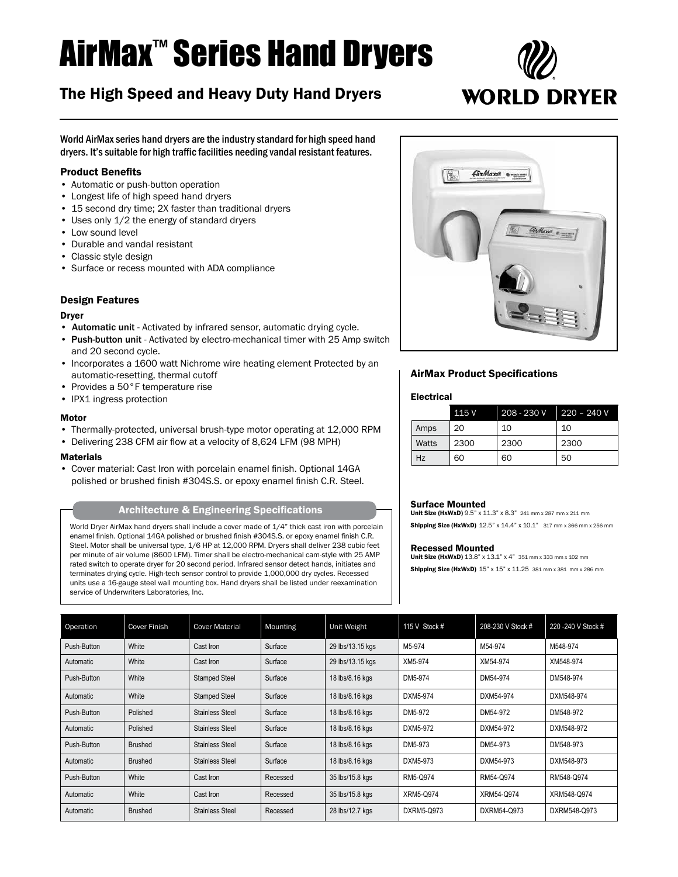# AirMax™ Series Hand Dryers

# The High Speed and Heavy Duty Hand Dryers



World AirMax series hand dryers are the industry standard for high speed hand dryers. It's suitable for high traffic facilities needing vandal resistant features.

# Product Benefits

- Automatic or push-button operation
- • Longest life of high speed hand dryers
- 15 second dry time; 2X faster than traditional dryers
- Uses only 1/2 the energy of standard dryers
- Low sound level
- • Durable and vandal resistant
- • Classic style design
- • Surface or recess mounted with ADA compliance

## Design Features

#### Dryer

- Automatic unit Activated by infrared sensor, automatic drying cycle.
- Push-button unit Activated by electro-mechanical timer with 25 Amp switch and 20 second cycle.
- Incorporates a 1600 watt Nichrome wire heating element Protected by an automatic-resetting, thermal cutoff
- Provides a 50°F temperature rise
- IPX1 ingress protection

#### Motor

- Thermally-protected, universal brush-type motor operating at 12,000 RPM
- Delivering 238 CFM air flow at a velocity of 8,624 LFM (98 MPH)

#### **Materials**

• Cover material: Cast Iron with porcelain enamel finish. Optional 14GA polished or brushed finish #304S.S. or epoxy enamel finish C.R. Steel.

World Dryer AirMax hand dryers shall include a cover made of 1/4" thick cast iron with porcelain enamel finish. Optional 14GA polished or brushed finish #304S.S. or epoxy enamel finish C.R. Steel. Motor shall be universal type, 1/6 HP at 12,000 RPM. Dryers shall deliver 238 cubic feet per minute of air volume (8600 LFM). Timer shall be electro-mechanical cam-style with 25 AMP rated switch to operate dryer for 20 second period. Infrared sensor detect hands, initiates and terminates drying cycle. High-tech sensor control to provide 1,000,000 dry cycles. Recessed units use a 16-gauge steel wall mounting box. Hand dryers shall be listed under reexamination service of Underwriters Laboratories, Inc.



# AirMax Product Specifications

#### Electrical

|       | 115 V | 208 - 230 V | $220 - 240V$ |
|-------|-------|-------------|--------------|
| Amps  | 20    | 10          | 10           |
| Watts | 2300  | 2300        | 2300         |
| Hz    | 60    | 60          | 50           |

#### Surface Mounted

Unit Size (HxWxD) 9.5" x 11.3" x 8.3" 241 mm x 287 mm x 211 mm Shipping Size (HxWxD) 12.5" x 14.4" x 10.1" 317 mm x 366 mm x 256 mm

#### Recessed Mounted

Unit Size (HxWxD) 13.8" x 13.1" x 4" 351 mm x 333 mm x 102 mm Shipping Size (HxWxD) 15" x 15" x 11.25 381 mm x 381 mm x 286 mm

| Operation   | <b>Cover Finish</b> | <b>Cover Material</b>  | Mounting | Unit Weight      | 115 V Stock # | 208-230 V Stock # | 220 - 240 V Stock # |
|-------------|---------------------|------------------------|----------|------------------|---------------|-------------------|---------------------|
| Push-Button | White               | Cast Iron              | Surface  | 29 lbs/13.15 kgs | M5-974        | M54-974           | M548-974            |
| Automatic   | White               | Cast Iron              | Surface  | 29 lbs/13.15 kgs | XM5-974       | XM54-974          | XM548-974           |
| Push-Button | White               | <b>Stamped Steel</b>   | Surface  | 18 lbs/8.16 kgs  | DM5-974       | DM54-974          | DM548-974           |
| Automatic   | White               | <b>Stamped Steel</b>   | Surface  | 18 lbs/8.16 kgs  | DXM5-974      | DXM54-974         | DXM548-974          |
| Push-Button | Polished            | Stainless Steel        | Surface  | 18 lbs/8.16 kgs  | DM5-972       | DM54-972          | DM548-972           |
| Automatic   | Polished            | Stainless Steel        | Surface  | 18 lbs/8.16 kgs  | DXM5-972      | DXM54-972         | DXM548-972          |
| Push-Button | <b>Brushed</b>      | Stainless Steel        | Surface  | 18 lbs/8.16 kgs  | DM5-973       | DM54-973          | DM548-973           |
| Automatic   | <b>Brushed</b>      | Stainless Steel        | Surface  | 18 lbs/8.16 kgs  | DXM5-973      | DXM54-973         | DXM548-973          |
| Push-Button | White               | Cast Iron              | Recessed | 35 lbs/15.8 kgs  | RM5-Q974      | RM54-Q974         | RM548-Q974          |
| Automatic   | White               | Cast Iron              | Recessed | 35 lbs/15.8 kgs  | XRM5-Q974     | XRM54-Q974        | XRM548-Q974         |
| Automatic   | <b>Brushed</b>      | <b>Stainless Steel</b> | Recessed | 28 lbs/12.7 kgs  | DXRM5-Q973    | DXRM54-Q973       | DXRM548-Q973        |

Architecture & Engineering Specifications